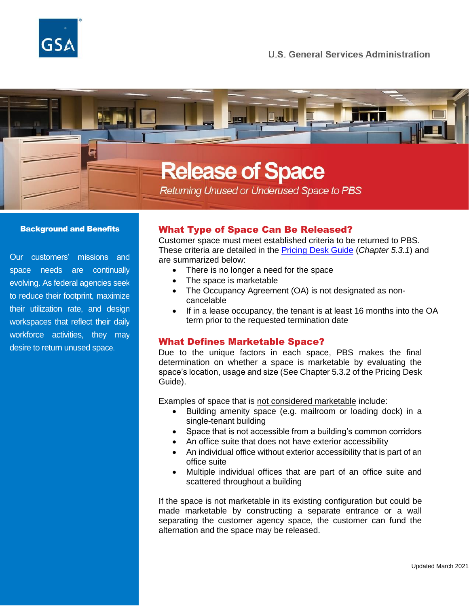

# **Release of Space**

Returning Unused or Underused Space to PBS

#### Background and Benefits

Our customers' missions and space needs are continually evolving. As federal agencies seek to reduce their footprint, maximize their utilization rate, and design workspaces that reflect their daily workforce activities, they may desire to return unused space.

# What Type of Space Can Be Released?

Customer space must meet established criteria to be returned to PBS. These criteria are detailed in the [Pricing Desk Guide](https://www.gsa.gov/cdnstatic/Pricing%20Desk%20Guide%205th%20Edition%20August%201,%202020_0.pdf) (*Chapter 5.3.1*) and are summarized below:

- There is no longer a need for the space
- The space is marketable
- The Occupancy Agreement (OA) is not designated as noncancelable
- If in a lease occupancy, the tenant is at least 16 months into the OA term prior to the requested termination date

### What Defines Marketable Space?

Due to the unique factors in each space, PBS makes the final determination on whether a space is marketable by evaluating the space's location, usage and size (See Chapter 5.3.2 of the Pricing Desk Guide).

Examples of space that is not considered marketable include:

- Building amenity space (e.g. mailroom or loading dock) in a single-tenant building
- Space that is not accessible from a building's common corridors
- An office suite that does not have exterior accessibility
- An individual office without exterior accessibility that is part of an office suite
- Multiple individual offices that are part of an office suite and scattered throughout a building

If the space is not marketable in its existing configuration but could be made marketable by constructing a separate entrance or a wall separating the customer agency space, the customer can fund the alternation and the space may be released.